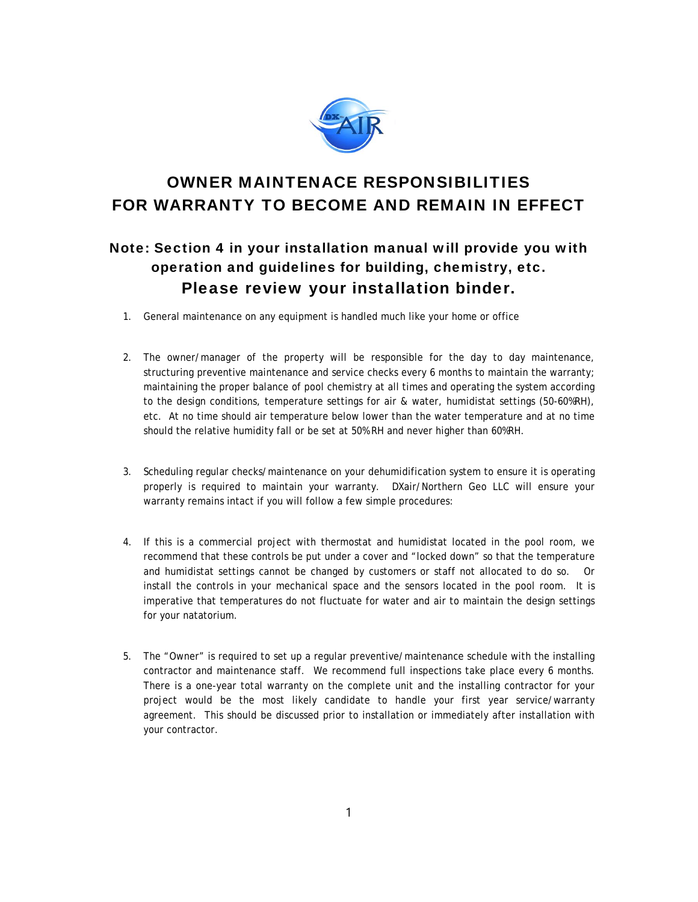

## OWNER MAINTENACE RESPONSIBILITIES FOR WARRANTY TO BECOME AND REMAIN IN EFFECT

## Note: Section 4 in your installation manual will provide you with operation and guidelines for building, chemistry, etc. Please review your installation binder.

- 1. General maintenance on any equipment is handled much like your home or office
- 2. The owner/manager of the property will be responsible for the day to day maintenance, structuring preventive maintenance and service checks every 6 months to maintain the warranty; maintaining the proper balance of pool chemistry at all times and operating the system according to the design conditions, temperature settings for air & water, humidistat settings (50-60%RH), etc. At no time should air temperature below lower than the water temperature and at no time should the relative humidity fall or be set at 50% RH and never higher than 60%RH.
- 3. Scheduling regular checks/maintenance on your dehumidification system to ensure it is operating properly is required to maintain your warranty. DXair/Northern Geo LLC will ensure your warranty remains intact if you will follow a few simple procedures:
- 4. If this is a commercial project with thermostat and humidistat located in the pool room, we recommend that these controls be put under a cover and "locked down" so that the temperature and humidistat settings cannot be changed by customers or staff not allocated to do so. Or install the controls in your mechanical space and the sensors located in the pool room. It is imperative that temperatures do not fluctuate for water and air to maintain the design settings for your natatorium.
- 5. The "Owner" is required to set up a regular preventive/maintenance schedule with the installing contractor and maintenance staff. We recommend full inspections take place every 6 months. There is a one-year total warranty on the complete unit and the installing contractor for your project would be the most likely candidate to handle your first year service/warranty agreement. This should be discussed prior to installation or immediately after installation with your contractor.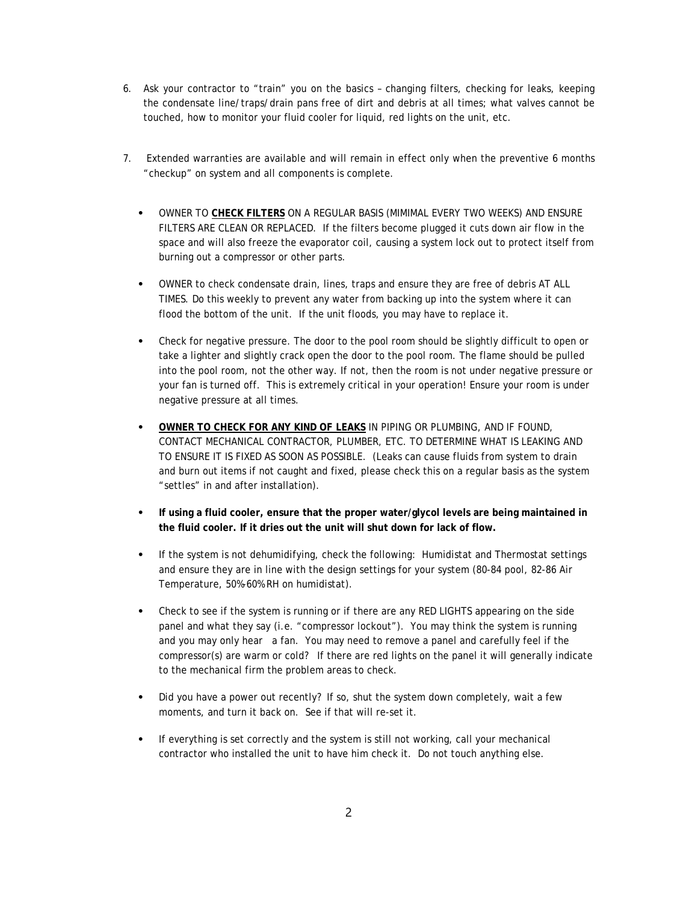- 6. Ask your contractor to "train" you on the basics changing filters, checking for leaks, keeping the condensate line/traps/drain pans free of dirt and debris at all times; what valves cannot be touched, how to monitor your fluid cooler for liquid, red lights on the unit, etc.
- 7. Extended warranties are available and will remain in effect only when the preventive 6 months "checkup" on system and all components is complete.
	- ⦁ OWNER TO **CHECK FILTERS** ON A REGULAR BASIS (MIMIMAL EVERY TWO WEEKS) AND ENSURE FILTERS ARE CLEAN OR REPLACED. If the filters become plugged it cuts down air flow in the space and will also freeze the evaporator coil, causing a system lock out to protect itself from burning out a compressor or other parts.
	- ⦁ OWNER to check condensate drain, lines, traps and ensure they are free of debris AT ALL TIMES. Do this weekly to prevent any water from backing up into the system where it can flood the bottom of the unit. If the unit floods, you may have to replace it.
	- ⦁ Check for negative pressure. The door to the pool room should be slightly difficult to open or take a lighter and slightly crack open the door to the pool room. The flame should be pulled into the pool room, not the other way. If not, then the room is not under negative pressure or your fan is turned off. This is extremely critical in your operation! Ensure your room is under negative pressure at all times.
	- ⦁ **OWNER TO CHECK FOR ANY KIND OF LEAKS** IN PIPING OR PLUMBING, AND IF FOUND, CONTACT MECHANICAL CONTRACTOR, PLUMBER, ETC. TO DETERMINE WHAT IS LEAKING AND TO ENSURE IT IS FIXED AS SOON AS POSSIBLE. (Leaks can cause fluids from system to drain and burn out items if not caught and fixed, please check this on a regular basis as the system "settles" in and after installation).
	- ⦁ **If using a fluid cooler, ensure that the proper water/glycol levels are being maintained in the fluid cooler. If it dries out the unit will shut down for lack of flow.**
	- ⦁ If the system is not dehumidifying, check the following: Humidistat and Thermostat settings and ensure they are in line with the design settings for your system (80-84 pool, 82-86 Air Temperature, 50%-60% RH on humidistat).
	- ⦁ Check to see if the system is running or if there are any RED LIGHTS appearing on the side panel and what they say (i.e. "compressor lockout"). You may think the system is running and you may only hear a fan. You may need to remove a panel and carefully feel if the compressor(s) are warm or cold? If there are red lights on the panel it will generally indicate to the mechanical firm the problem areas to check.
	- Did you have a power out recently? If so, shut the system down completely, wait a few moments, and turn it back on. See if that will re-set it.
	- If everything is set correctly and the system is still not working, call your mechanical contractor who installed the unit to have him check it. Do not touch anything else.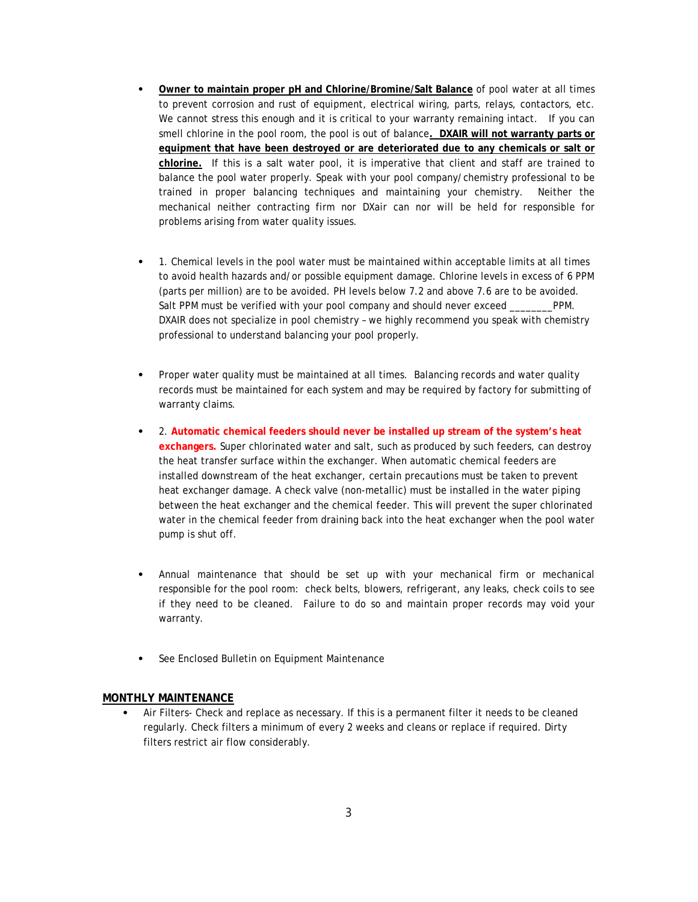- ⦁ **Owner to maintain proper pH and Chlorine/Bromine/Salt Balance** of pool water at all times to prevent corrosion and rust of equipment, electrical wiring, parts, relays, contactors, etc. We cannot stress this enough and it is critical to your warranty remaining intact. If you can smell chlorine in the pool room, the pool is out of balance**. DXAIR will not warranty parts or equipment that have been destroyed or are deteriorated due to any chemicals or salt or chlorine.** If this is a salt water pool, it is imperative that client and staff are trained to balance the pool water properly. Speak with your pool company/chemistry professional to be trained in proper balancing techniques and maintaining your chemistry. Neither the mechanical neither contracting firm nor DXair can nor will be held for responsible for problems arising from water quality issues.
- ⦁ 1. Chemical levels in the pool water must be maintained within acceptable limits at all times to avoid health hazards and/or possible equipment damage. Chlorine levels in excess of 6 PPM (parts per million) are to be avoided. PH levels below 7.2 and above 7.6 are to be avoided. Salt PPM must be verified with your pool company and should never exceed \_\_\_\_\_\_\_\_PPM. DXAIR does not specialize in pool chemistry – we highly recommend you speak with chemistry professional to understand balancing your pool properly.
- Proper water quality must be maintained at all times. Balancing records and water quality records must be maintained for each system and may be required by factory for submitting of warranty claims.
- ⦁ 2. **Automatic chemical feeders should never be installed up stream of the system's heat exchangers.** Super chlorinated water and salt, such as produced by such feeders, can destroy the heat transfer surface within the exchanger. When automatic chemical feeders are installed downstream of the heat exchanger, certain precautions must be taken to prevent heat exchanger damage. A check valve (non-metallic) must be installed in the water piping between the heat exchanger and the chemical feeder. This will prevent the super chlorinated water in the chemical feeder from draining back into the heat exchanger when the pool water pump is shut off.
- ⦁ Annual maintenance that should be set up with your mechanical firm or mechanical responsible for the pool room: check belts, blowers, refrigerant, any leaks, check coils to see if they need to be cleaned. Failure to do so and maintain proper records may void your warranty.
- See Enclosed Bulletin on Equipment Maintenance

## **MONTHLY MAINTENANCE**

Air Filters- Check and replace as necessary. If this is a permanent filter it needs to be cleaned regularly. Check filters a minimum of every 2 weeks and cleans or replace if required. Dirty filters restrict air flow considerably.